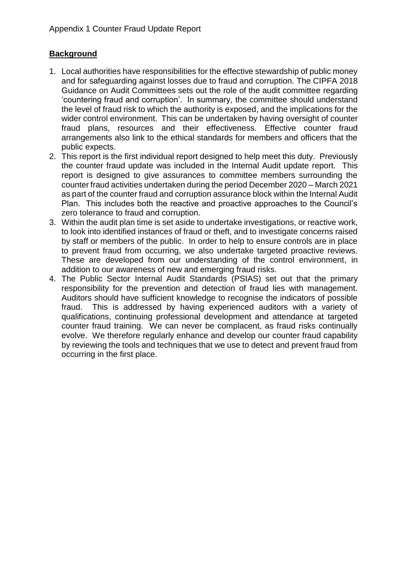## **Background**

- 1. Local authorities have responsibilities for the effective stewardship of public money and for safeguarding against losses due to fraud and corruption. The CIPFA 2018 Guidance on Audit Committees sets out the role of the audit committee regarding 'countering fraud and corruption'. In summary, the committee should understand the level of fraud risk to which the authority is exposed, and the implications for the wider control environment. This can be undertaken by having oversight of counter fraud plans, resources and their effectiveness. Effective counter fraud arrangements also link to the ethical standards for members and officers that the public expects.
- 2. This report is the first individual report designed to help meet this duty. Previously the counter fraud update was included in the Internal Audit update report. This report is designed to give assurances to committee members surrounding the counter fraud activities undertaken during the period December 2020 – March 2021 as part of the counter fraud and corruption assurance block within the Internal Audit Plan. This includes both the reactive and proactive approaches to the Council's zero tolerance to fraud and corruption.
- 3. Within the audit plan time is set aside to undertake investigations, or reactive work, to look into identified instances of fraud or theft, and to investigate concerns raised by staff or members of the public. In order to help to ensure controls are in place to prevent fraud from occurring, we also undertake targeted proactive reviews. These are developed from our understanding of the control environment, in addition to our awareness of new and emerging fraud risks.
- 4. The Public Sector Internal Audit Standards (PSIAS) set out that the primary responsibility for the prevention and detection of fraud lies with management. Auditors should have sufficient knowledge to recognise the indicators of possible fraud. This is addressed by having experienced auditors with a variety of qualifications, continuing professional development and attendance at targeted counter fraud training. We can never be complacent, as fraud risks continually evolve. We therefore regularly enhance and develop our counter fraud capability by reviewing the tools and techniques that we use to detect and prevent fraud from occurring in the first place.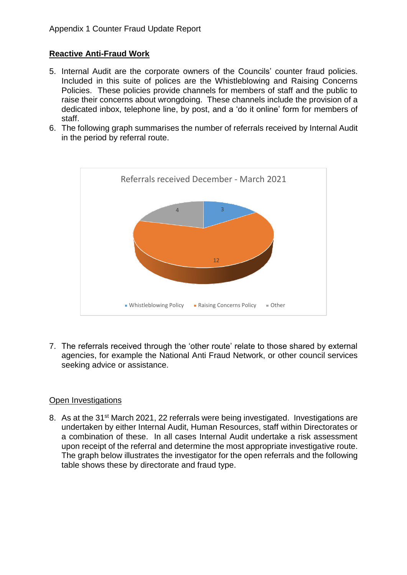## **Reactive Anti-Fraud Work**

- 5. Internal Audit are the corporate owners of the Councils' counter fraud policies. Included in this suite of polices are the Whistleblowing and Raising Concerns Policies. These policies provide channels for members of staff and the public to raise their concerns about wrongdoing. These channels include the provision of a dedicated inbox, telephone line, by post, and a 'do it online' form for members of staff.
- 6. The following graph summarises the number of referrals received by Internal Audit in the period by referral route.



7. The referrals received through the 'other route' relate to those shared by external agencies, for example the National Anti Fraud Network, or other council services seeking advice or assistance.

#### Open Investigations

8. As at the 31<sup>st</sup> March 2021, 22 referrals were being investigated. Investigations are undertaken by either Internal Audit, Human Resources, staff within Directorates or a combination of these. In all cases Internal Audit undertake a risk assessment upon receipt of the referral and determine the most appropriate investigative route. The graph below illustrates the investigator for the open referrals and the following table shows these by directorate and fraud type.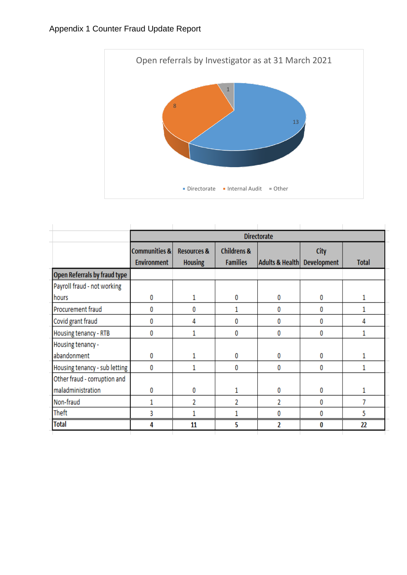

|                               | <b>Directorate</b>                  |                                          |                                           |                 |                                   |              |
|-------------------------------|-------------------------------------|------------------------------------------|-------------------------------------------|-----------------|-----------------------------------|--------------|
|                               | Communities &<br><b>Environment</b> | <b>Resources &amp;</b><br><b>Housing</b> | <b>Childrens &amp;</b><br><b>Families</b> | Adults & Health | <b>City</b><br><b>Development</b> | <b>Total</b> |
| Open Referrals by fraud type  |                                     |                                          |                                           |                 |                                   |              |
| Payroll fraud - not working   |                                     |                                          |                                           |                 |                                   |              |
| hours                         | 0                                   | 1                                        | 0                                         | 0               | 0                                 | 1            |
| Procurement fraud             | 0                                   | 0                                        |                                           | 0               | 0                                 | 1            |
| Covid grant fraud             | 0                                   | 4                                        | 0                                         | $\bf{0}$        | 0                                 | 4            |
| Housing tenancy - RTB         | 0                                   | 1                                        | 0                                         | 0               | 0                                 | 1            |
| Housing tenancy -             |                                     |                                          |                                           |                 |                                   |              |
| abandonment                   | 0                                   | 1                                        | 0                                         | 0               | 0                                 |              |
| Housing tenancy - sub letting | 0                                   | 1                                        | 0                                         | 0               | 0                                 | 1            |
| Other fraud - corruption and  |                                     |                                          |                                           |                 |                                   |              |
| maladministration             | 0                                   | 0                                        |                                           | 0               | 0                                 |              |
| Non-fraud                     | 1                                   | 2                                        | 2                                         | 2               | 0                                 | 7            |
| Theft                         | 3                                   | 1                                        |                                           | 0               | 0                                 | 5            |
| <b>Total</b>                  | 4                                   | 11                                       | 5                                         | 2               | 0                                 | 22           |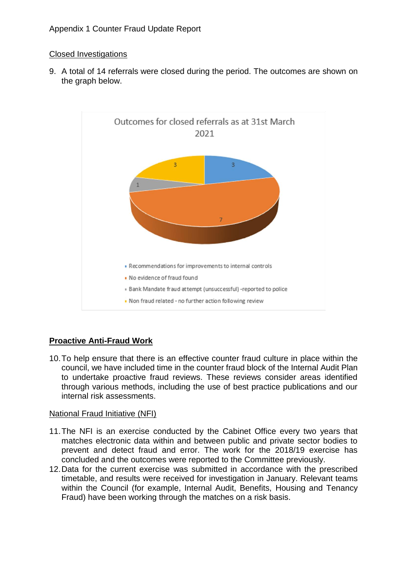#### Closed Investigations

9. A total of 14 referrals were closed during the period. The outcomes are shown on the graph below.



# **Proactive Anti-Fraud Work**

10.To help ensure that there is an effective counter fraud culture in place within the council, we have included time in the counter fraud block of the Internal Audit Plan to undertake proactive fraud reviews. These reviews consider areas identified through various methods, including the use of best practice publications and our internal risk assessments.

#### National Fraud Initiative (NFI)

- 11.The NFI is an exercise conducted by the Cabinet Office every two years that matches electronic data within and between public and private sector bodies to prevent and detect fraud and error. The work for the 2018/19 exercise has concluded and the outcomes were reported to the Committee previously.
- 12.Data for the current exercise was submitted in accordance with the prescribed timetable, and results were received for investigation in January. Relevant teams within the Council (for example, Internal Audit, Benefits, Housing and Tenancy Fraud) have been working through the matches on a risk basis.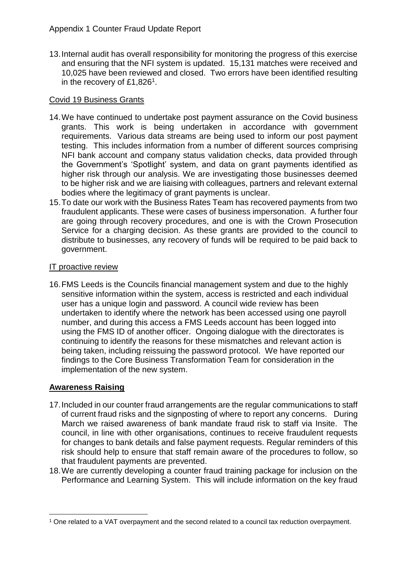13.Internal audit has overall responsibility for monitoring the progress of this exercise and ensuring that the NFI system is updated. 15,131 matches were received and 10,025 have been reviewed and closed. Two errors have been identified resulting in the recovery of  $£1,826<sup>1</sup>$ .

## Covid 19 Business Grants

- 14.We have continued to undertake post payment assurance on the Covid business grants. This work is being undertaken in accordance with government requirements. Various data streams are being used to inform our post payment testing. This includes information from a number of different sources comprising NFI bank account and company status validation checks, data provided through the Government's 'Spotlight' system, and data on grant payments identified as higher risk through our analysis. We are investigating those businesses deemed to be higher risk and we are liaising with colleagues, partners and relevant external bodies where the legitimacy of grant payments is unclear.
- 15.To date our work with the Business Rates Team has recovered payments from two fraudulent applicants. These were cases of business impersonation. A further four are going through recovery procedures, and one is with the Crown Prosecution Service for a charging decision. As these grants are provided to the council to distribute to businesses, any recovery of funds will be required to be paid back to government.

### IT proactive review

16.FMS Leeds is the Councils financial management system and due to the highly sensitive information within the system, access is restricted and each individual user has a unique login and password. A council wide review has been undertaken to identify where the network has been accessed using one payroll number, and during this access a FMS Leeds account has been logged into using the FMS ID of another officer. Ongoing dialogue with the directorates is continuing to identify the reasons for these mismatches and relevant action is being taken, including reissuing the password protocol. We have reported our findings to the Core Business Transformation Team for consideration in the implementation of the new system.

# **Awareness Raising**

1

- 17.Included in our counter fraud arrangements are the regular communications to staff of current fraud risks and the signposting of where to report any concerns. During March we raised awareness of bank mandate fraud risk to staff via Insite. The council, in line with other organisations, continues to receive fraudulent requests for changes to bank details and false payment requests. Regular reminders of this risk should help to ensure that staff remain aware of the procedures to follow, so that fraudulent payments are prevented.
- 18.We are currently developing a counter fraud training package for inclusion on the Performance and Learning System. This will include information on the key fraud

<sup>1</sup> One related to a VAT overpayment and the second related to a council tax reduction overpayment.